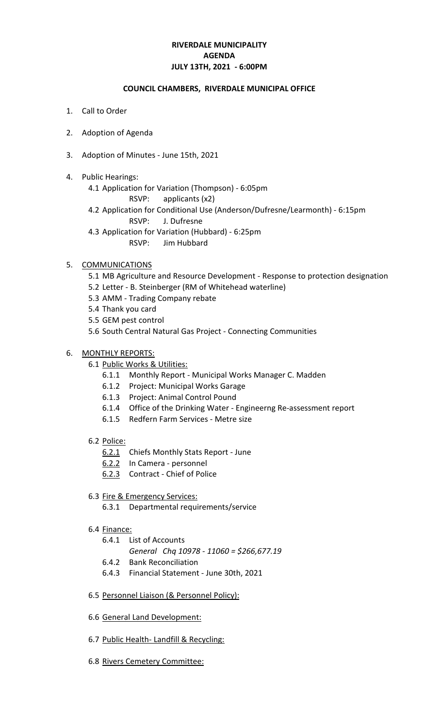# **RIVERDALE MUNICIPALITY JULY 13TH, 2021 - 6:00PM AGENDA**

### **COUNCIL CHAMBERS, RIVERDALE MUNICIPAL OFFICE**

- 1. Call to Order
- 2. Adoption of Agenda
- 3. Adoption of Minutes June 15th, 2021
- 4. Public Hearings:
	- 4.1 Application for Variation (Thompson) 6:05pm
		- RSVP: applicants (x2)
	- 4.2 Application for Conditional Use (Anderson/Dufresne/Learmonth) 6:15pm
		- RSVP: J. Dufresne
	- 4.3 Application for Variation (Hubbard) 6:25pm
		- RSVP: Jim Hubbard

# 5. COMMUNICATIONS

- 5.1 MB Agriculture and Resource Development Response to protection designation
- 5.2 Letter B. Steinberger (RM of Whitehead waterline)
- 5.3 AMM Trading Company rebate
- 5.4 Thank you card
- 5.5 GEM pest control
- 5.6 South Central Natural Gas Project Connecting Communities

# 6. MONTHLY REPORTS:

- 6.1 Public Works & Utilities:
	- 6.1.1 Monthly Report Municipal Works Manager C. Madden
	- 6.1.2 Project: Municipal Works Garage
	- 6.1.3 Project: Animal Control Pound
	- 6.1.4 Office of the Drinking Water Engineerng Re-assessment report
	- 6.1.5 Redfern Farm Services Metre size
- 6.2 Police:
	- 6.2.1 Chiefs Monthly Stats Report June
	- 6.2.2 In Camera personnel
	- 6.2.3 Contract Chief of Police
- 6.3 Fire & Emergency Services:
	- 6.3.1 Departmental requirements/service
- 6.4 Finance:
	- 6.4.1 List of Accounts
		- *General Chq 10978 11060 = \$266,677.19*
	- 6.4.2 Bank Reconciliation
	- 6.4.3 Financial Statement June 30th, 2021
- 6.5 Personnel Liaison (& Personnel Policy):
- 6.6 General Land Development:
- 6.7 Public Health- Landfill & Recycling:
- 6.8 Rivers Cemetery Committee: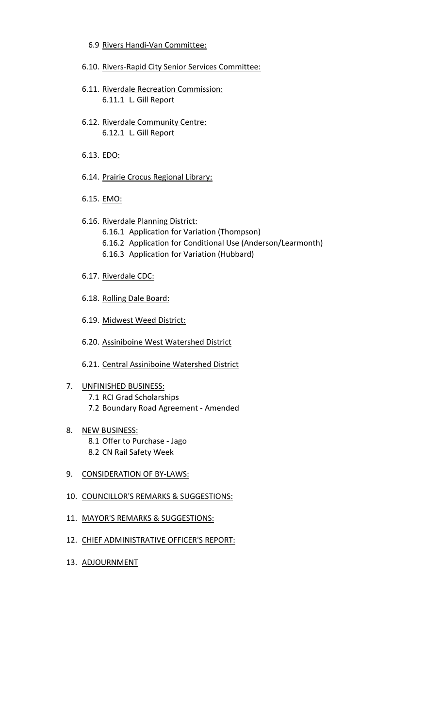- 6.9 Rivers Handi-Van Committee:
- 6.10. Rivers-Rapid City Senior Services Committee:
- 6.11. Riverdale Recreation Commission: 6.11.1 L. Gill Report
- 6.12. Riverdale Community Centre: 6.12.1 L. Gill Report
- 6.13. EDO:
- 6.14. Prairie Crocus Regional Library:
- 6.15. EMO:
- 6.16. Riverdale Planning District:
	- 6.16.1 Application for Variation (Thompson)
	- 6.16.2 Application for Conditional Use (Anderson/Learmonth)
	- 6.16.3 Application for Variation (Hubbard)
- 6.17. Riverdale CDC:
- 6.18. Rolling Dale Board:
- 6.19. Midwest Weed District:
- 6.20. Assiniboine West Watershed District
- 6.21. Central Assiniboine Watershed District
- 7. UNFINISHED BUSINESS: 7.1 RCI Grad Scholarships 7.2 Boundary Road Agreement - Amended
- 8. NEW BUSINESS: 8.1 Offer to Purchase - Jago 8.2 CN Rail Safety Week
- 9. CONSIDERATION OF BY-LAWS:
- 10. COUNCILLOR'S REMARKS & SUGGESTIONS:
- 11. MAYOR'S REMARKS & SUGGESTIONS:
- 12. CHIEF ADMINISTRATIVE OFFICER'S REPORT:
- 13. ADJOURNMENT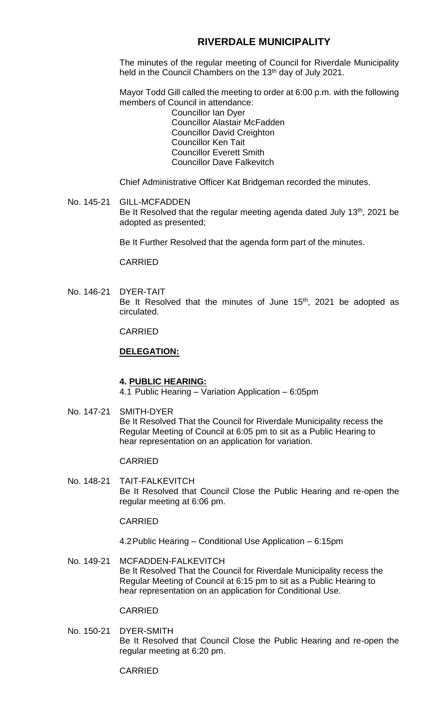# **RIVERDALE MUNICIPALITY**

The minutes of the regular meeting of Council for Riverdale Municipality held in the Council Chambers on the 13<sup>th</sup> day of July 2021.

Mayor Todd Gill called the meeting to order at 6:00 p.m. with the following members of Council in attendance:

Councillor Ian Dyer Councillor Alastair McFadden Councillor David Creighton Councillor Ken Tait Councillor Everett Smith Councillor Dave Falkevitch

Chief Administrative Officer Kat Bridgeman recorded the minutes.

No. 145-21 GILL-MCFADDEN Be It Resolved that the regular meeting agenda dated July  $13<sup>th</sup>$ , 2021 be adopted as presented;

Be It Further Resolved that the agenda form part of the minutes.

CARRIED

No. 146-21 DYER-TAIT Be It Resolved that the minutes of June  $15<sup>th</sup>$ , 2021 be adopted as circulated.

CARRIED

#### **DELEGATION:**

#### **4. PUBLIC HEARING:**

4.1 Public Hearing – Variation Application – 6:05pm

No. 147-21 SMITH-DYER Be It Resolved That the Council for Riverdale Municipality recess the Regular Meeting of Council at 6:05 pm to sit as a Public Hearing to hear representation on an application for variation.

#### CARRIED

No. 148-21 TAIT-FALKEVITCH Be It Resolved that Council Close the Public Hearing and re-open the regular meeting at 6:06 pm.

### CARRIED

4.2Public Hearing – Conditional Use Application – 6:15pm

No. 149-21 MCFADDEN-FALKEVITCH Be It Resolved That the Council for Riverdale Municipality recess the Regular Meeting of Council at 6:15 pm to sit as a Public Hearing to hear representation on an application for Conditional Use.

CARRIED

No. 150-21 DYER-SMITH Be It Resolved that Council Close the Public Hearing and re-open the regular meeting at 6:20 pm.

CARRIED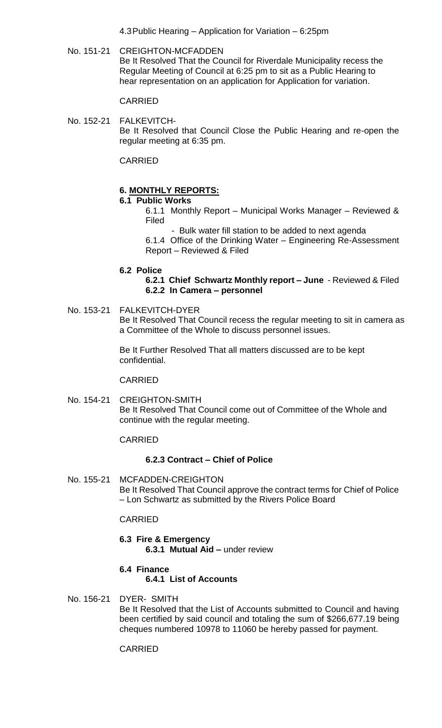4.3Public Hearing – Application for Variation – 6:25pm

No. 151-21 CREIGHTON-MCFADDEN Be It Resolved That the Council for Riverdale Municipality recess the Regular Meeting of Council at 6:25 pm to sit as a Public Hearing to hear representation on an application for Application for variation.

CARRIED

No. 152-21 FALKEVITCH-Be It Resolved that Council Close the Public Hearing and re-open the regular meeting at 6:35 pm.

CARRIED

# **6. MONTHLY REPORTS:**

### **6.1 Public Works**

- 6.1.1 Monthly Report Municipal Works Manager Reviewed & Filed
	- Bulk water fill station to be added to next agenda

6.1.4 Office of the Drinking Water – Engineering Re-Assessment Report – Reviewed & Filed

### **6.2 Police**

**6.2.1 Chief Schwartz Monthly report – June** - Reviewed & Filed **6.2.2 In Camera – personnel**

No. 153-21 FALKEVITCH-DYER Be It Resolved That Council recess the regular meeting to sit in camera as a Committee of the Whole to discuss personnel issues.

> Be It Further Resolved That all matters discussed are to be kept confidential.

### CARRIED

No. 154-21 CREIGHTON-SMITH Be It Resolved That Council come out of Committee of the Whole and continue with the regular meeting.

### CARRIED

# **6.2.3 Contract – Chief of Police**

No. 155-21 MCFADDEN-CREIGHTON Be It Resolved That Council approve the contract terms for Chief of Police – Lon Schwartz as submitted by the Rivers Police Board

# CARRIED

**6.3 Fire & Emergency 6.3.1 Mutual Aid –** under review

# **6.4 Finance**

# **6.4.1 List of Accounts**

No. 156-21 DYER- SMITH

Be It Resolved that the List of Accounts submitted to Council and having been certified by said council and totaling the sum of \$266,677.19 being cheques numbered 10978 to 11060 be hereby passed for payment.

### CARRIED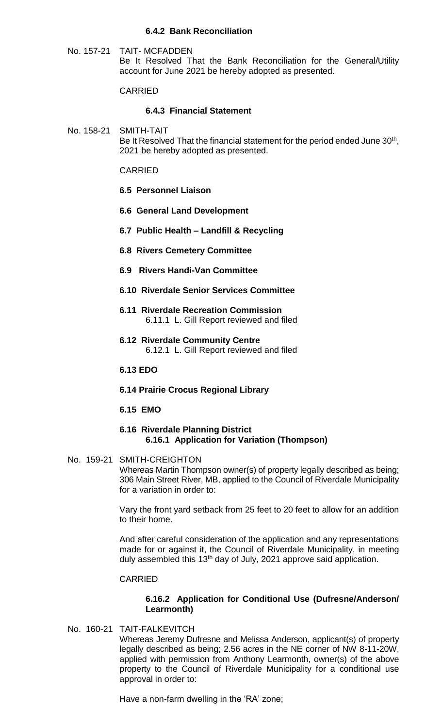### **6.4.2 Bank Reconciliation**

No. 157-21 TAIT- MCFADDEN Be It Resolved That the Bank Reconciliation for the General/Utility account for June 2021 be hereby adopted as presented.

#### CARRIED

#### **6.4.3 Financial Statement**

No. 158-21 SMITH-TAIT Be It Resolved That the financial statement for the period ended June 30<sup>th</sup>, 2021 be hereby adopted as presented.

#### CARRIED

- **6.5 Personnel Liaison**
- **6.6 General Land Development**
- **6.7 Public Health – Landfill & Recycling**
- **6.8 Rivers Cemetery Committee**
- **6.9 Rivers Handi-Van Committee**
- **6.10 Riverdale Senior Services Committee**
- **6.11 Riverdale Recreation Commission** 6.11.1 L. Gill Report reviewed and filed
- **6.12 Riverdale Community Centre** 6.12.1 L. Gill Report reviewed and filed

#### **6.13 EDO**

- **6.14 Prairie Crocus Regional Library**
- **6.15 EMO**

### **6.16 Riverdale Planning District 6.16.1 Application for Variation (Thompson)**

### No. 159-21 SMITH-CREIGHTON Whereas Martin Thompson owner(s) of property legally described as being; 306 Main Street River, MB, applied to the Council of Riverdale Municipality for a variation in order to:

Vary the front yard setback from 25 feet to 20 feet to allow for an addition to their home.

And after careful consideration of the application and any representations made for or against it, the Council of Riverdale Municipality, in meeting duly assembled this 13<sup>th</sup> day of July, 2021 approve said application.

### CARRIED

### **6.16.2 Application for Conditional Use (Dufresne/Anderson/ Learmonth)**

No. 160-21 TAIT-FALKEVITCH

Whereas Jeremy Dufresne and Melissa Anderson, applicant(s) of property legally described as being; 2.56 acres in the NE corner of NW 8-11-20W, applied with permission from Anthony Learmonth, owner(s) of the above property to the Council of Riverdale Municipality for a conditional use approval in order to:

Have a non-farm dwelling in the 'RA' zone;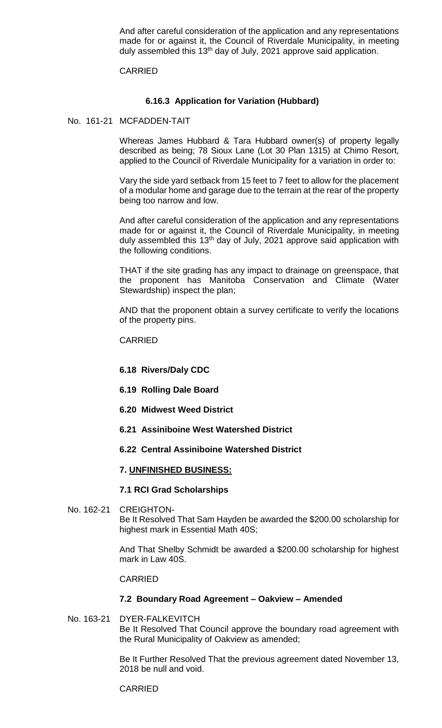And after careful consideration of the application and any representations made for or against it, the Council of Riverdale Municipality, in meeting duly assembled this 13<sup>th</sup> day of July, 2021 approve said application.

#### CARRIED

### **6.16.3 Application for Variation (Hubbard)**

No. 161-21 MCFADDEN-TAIT

Whereas James Hubbard & Tara Hubbard owner(s) of property legally described as being; 78 Sioux Lane (Lot 30 Plan 1315) at Chimo Resort, applied to the Council of Riverdale Municipality for a variation in order to:

Vary the side yard setback from 15 feet to 7 feet to allow for the placement of a modular home and garage due to the terrain at the rear of the property being too narrow and low.

And after careful consideration of the application and any representations made for or against it, the Council of Riverdale Municipality, in meeting duly assembled this 13<sup>th</sup> day of July, 2021 approve said application with the following conditions.

THAT if the site grading has any impact to drainage on greenspace, that the proponent has Manitoba Conservation and Climate (Water Stewardship) inspect the plan;

AND that the proponent obtain a survey certificate to verify the locations of the property pins.

#### CARRIED

- **6.18 Rivers/Daly CDC**
- **6.19 Rolling Dale Board**
- **6.20 Midwest Weed District**
- **6.21 Assiniboine West Watershed District**

### **6.22 Central Assiniboine Watershed District**

#### **7. UNFINISHED BUSINESS:**

#### **7.1 RCI Grad Scholarships**

No. 162-21 CREIGHTON-Be It Resolved That Sam Hayden be awarded the \$200.00 scholarship for highest mark in Essential Math 40S;

> And That Shelby Schmidt be awarded a \$200.00 scholarship for highest mark in Law 40S.

#### CARRIED

#### **7.2 Boundary Road Agreement – Oakview – Amended**

No. 163-21 DYER-FALKEVITCH Be It Resolved That Council approve the boundary road agreement with the Rural Municipality of Oakview as amended;

> Be It Further Resolved That the previous agreement dated November 13, 2018 be null and void.

CARRIED